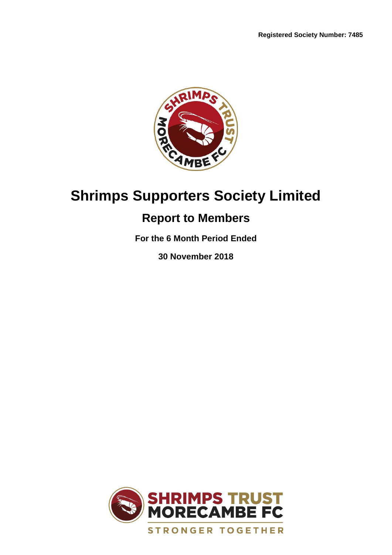

# **Shrimps Supporters Society Limited**

# **Report to Members**

**For the 6 Month Period Ended**

**30 November 2018**

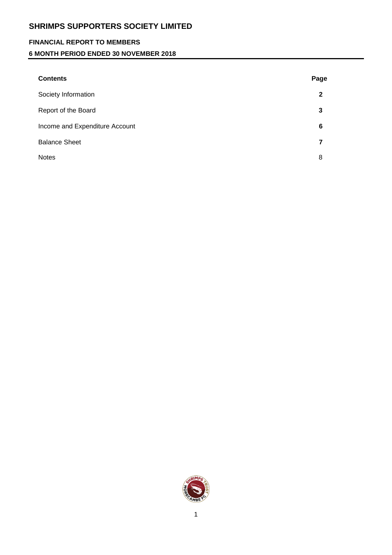## **FINANCIAL REPORT TO MEMBERS**

## **6 MONTH PERIOD ENDED 30 NOVEMBER 2018**

| <b>Contents</b>                | Page |
|--------------------------------|------|
| Society Information            | 2    |
| Report of the Board            | 3    |
| Income and Expenditure Account | 6    |
| <b>Balance Sheet</b>           |      |
| <b>Notes</b>                   | 8    |
|                                |      |

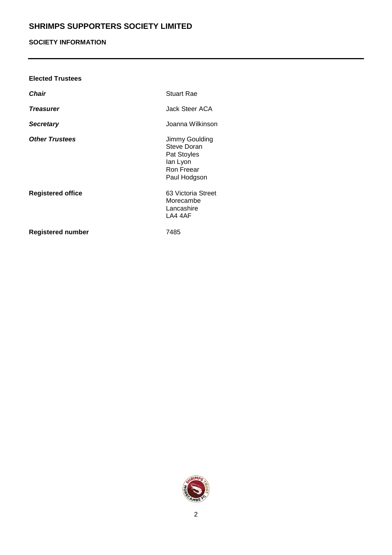## **SOCIETY INFORMATION**

| <b>Elected Trustees</b>  |                                                                                        |
|--------------------------|----------------------------------------------------------------------------------------|
| <b>Chair</b>             | <b>Stuart Rae</b>                                                                      |
| <b>Treasurer</b>         | Jack Steer ACA                                                                         |
| <b>Secretary</b>         | Joanna Wilkinson                                                                       |
| <b>Other Trustees</b>    | Jimmy Goulding<br>Steve Doran<br>Pat Stoyles<br>lan Lyon<br>Ron Freear<br>Paul Hodgson |
| <b>Registered office</b> | 63 Victoria Street<br>Morecambe<br>Lancashire<br>LA4 4AF                               |
| <b>Registered number</b> | 7485                                                                                   |

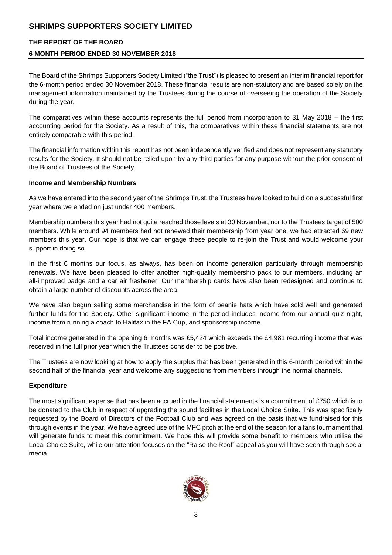#### **THE REPORT OF THE BOARD**

#### **6 MONTH PERIOD ENDED 30 NOVEMBER 2018**

The Board of the Shrimps Supporters Society Limited ("the Trust") is pleased to present an interim financial report for the 6-month period ended 30 November 2018. These financial results are non-statutory and are based solely on the management information maintained by the Trustees during the course of overseeing the operation of the Society during the year.

The comparatives within these accounts represents the full period from incorporation to 31 May 2018 – the first accounting period for the Society. As a result of this, the comparatives within these financial statements are not entirely comparable with this period.

The financial information within this report has not been independently verified and does not represent any statutory results for the Society. It should not be relied upon by any third parties for any purpose without the prior consent of the Board of Trustees of the Society.

#### **Income and Membership Numbers**

As we have entered into the second year of the Shrimps Trust, the Trustees have looked to build on a successful first year where we ended on just under 400 members.

Membership numbers this year had not quite reached those levels at 30 November, nor to the Trustees target of 500 members. While around 94 members had not renewed their membership from year one, we had attracted 69 new members this year. Our hope is that we can engage these people to re-join the Trust and would welcome your support in doing so.

In the first 6 months our focus, as always, has been on income generation particularly through membership renewals. We have been pleased to offer another high-quality membership pack to our members, including an all-improved badge and a car air freshener. Our membership cards have also been redesigned and continue to obtain a large number of discounts across the area.

We have also begun selling some merchandise in the form of beanie hats which have sold well and generated further funds for the Society. Other significant income in the period includes income from our annual quiz night, income from running a coach to Halifax in the FA Cup, and sponsorship income.

Total income generated in the opening 6 months was £5,424 which exceeds the £4,981 recurring income that was received in the full prior year which the Trustees consider to be positive.

The Trustees are now looking at how to apply the surplus that has been generated in this 6-month period within the second half of the financial year and welcome any suggestions from members through the normal channels.

### **Expenditure**

The most significant expense that has been accrued in the financial statements is a commitment of £750 which is to be donated to the Club in respect of upgrading the sound facilities in the Local Choice Suite. This was specifically requested by the Board of Directors of the Football Club and was agreed on the basis that we fundraised for this through events in the year. We have agreed use of the MFC pitch at the end of the season for a fans tournament that will generate funds to meet this commitment. We hope this will provide some benefit to members who utilise the Local Choice Suite, while our attention focuses on the "Raise the Roof" appeal as you will have seen through social media.

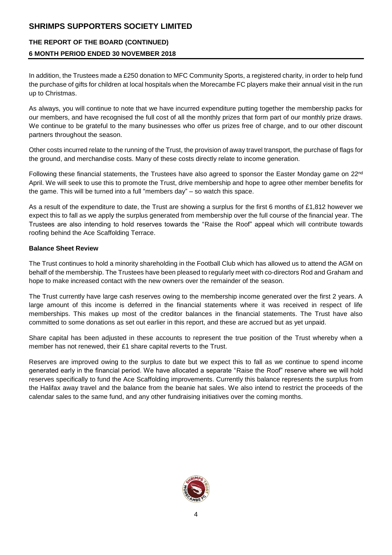# **THE REPORT OF THE BOARD (CONTINUED) 6 MONTH PERIOD ENDED 30 NOVEMBER 2018**

In addition, the Trustees made a £250 donation to MFC Community Sports, a registered charity, in order to help fund the purchase of gifts for children at local hospitals when the Morecambe FC players make their annual visit in the run up to Christmas.

As always, you will continue to note that we have incurred expenditure putting together the membership packs for our members, and have recognised the full cost of all the monthly prizes that form part of our monthly prize draws. We continue to be grateful to the many businesses who offer us prizes free of charge, and to our other discount partners throughout the season.

Other costs incurred relate to the running of the Trust, the provision of away travel transport, the purchase of flags for the ground, and merchandise costs. Many of these costs directly relate to income generation.

Following these financial statements, the Trustees have also agreed to sponsor the Easter Monday game on 22nd April. We will seek to use this to promote the Trust, drive membership and hope to agree other member benefits for the game. This will be turned into a full "members day" – so watch this space.

As a result of the expenditure to date, the Trust are showing a surplus for the first 6 months of £1,812 however we expect this to fall as we apply the surplus generated from membership over the full course of the financial year. The Trustees are also intending to hold reserves towards the "Raise the Roof" appeal which will contribute towards roofing behind the Ace Scaffolding Terrace.

#### **Balance Sheet Review**

The Trust continues to hold a minority shareholding in the Football Club which has allowed us to attend the AGM on behalf of the membership. The Trustees have been pleased to regularly meet with co-directors Rod and Graham and hope to make increased contact with the new owners over the remainder of the season.

The Trust currently have large cash reserves owing to the membership income generated over the first 2 years. A large amount of this income is deferred in the financial statements where it was received in respect of life memberships. This makes up most of the creditor balances in the financial statements. The Trust have also committed to some donations as set out earlier in this report, and these are accrued but as yet unpaid.

Share capital has been adjusted in these accounts to represent the true position of the Trust whereby when a member has not renewed, their £1 share capital reverts to the Trust.

Reserves are improved owing to the surplus to date but we expect this to fall as we continue to spend income generated early in the financial period. We have allocated a separate "Raise the Roof" reserve where we will hold reserves specifically to fund the Ace Scaffolding improvements. Currently this balance represents the surplus from the Halifax away travel and the balance from the beanie hat sales. We also intend to restrict the proceeds of the calendar sales to the same fund, and any other fundraising initiatives over the coming months.

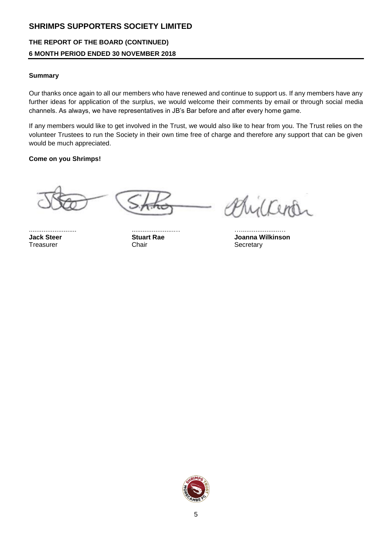# **THE REPORT OF THE BOARD (CONTINUED) 6 MONTH PERIOD ENDED 30 NOVEMBER 2018**

#### **Summary**

Our thanks once again to all our members who have renewed and continue to support us. If any members have any further ideas for application of the surplus, we would welcome their comments by email or through social media channels. As always, we have representatives in JB's Bar before and after every home game.

If any members would like to get involved in the Trust, we would also like to hear from you. The Trust relies on the volunteer Trustees to run the Society in their own time free of charge and therefore any support that can be given would be much appreciated.

#### **Come on you Shrimps!**

Treasurer Chair Chair Chair Secretary

.......................... .......................… ….....................…

 $1$  Comp

**Jack Steer Stuart Rae Joanna Wilkinson**

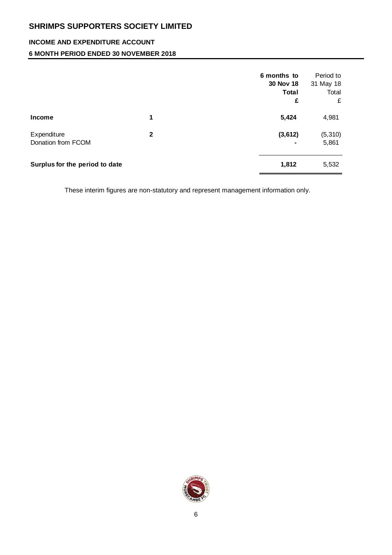# **INCOME AND EXPENDITURE ACCOUNT**

## **6 MONTH PERIOD ENDED 30 NOVEMBER 2018**

|                                   |              | 6 months to<br>30 Nov 18<br><b>Total</b><br>£ | Period to<br>31 May 18<br>Total<br>£ |
|-----------------------------------|--------------|-----------------------------------------------|--------------------------------------|
| <b>Income</b>                     | 1            | 5,424                                         | 4,981                                |
| Expenditure<br>Donation from FCOM | $\mathbf{2}$ | (3,612)                                       | (5, 310)<br>5,861                    |
| Surplus for the period to date    |              | 1,812                                         | 5,532                                |

These interim figures are non-statutory and represent management information only.

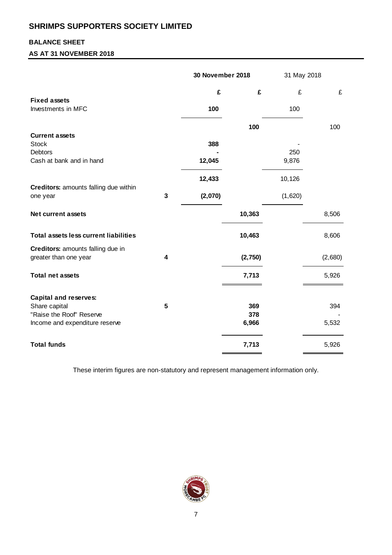## **BALANCE SHEET**

### **AS AT 31 NOVEMBER 2018**

|                                                            |   | 30 November 2018 |            | 31 May 2018 |         |
|------------------------------------------------------------|---|------------------|------------|-------------|---------|
|                                                            |   | £                | £          | £           | £       |
| <b>Fixed assets</b><br>Investments in MFC                  |   | 100              |            | 100         |         |
|                                                            |   |                  | 100        |             | 100     |
| <b>Current assets</b><br><b>Stock</b><br><b>Debtors</b>    |   | 388              |            | 250         |         |
| Cash at bank and in hand                                   |   | 12,045           |            | 9,876       |         |
|                                                            |   | 12,433           |            | 10,126      |         |
| Creditors: amounts falling due within<br>one year          | 3 | (2,070)          |            | (1,620)     |         |
| <b>Net current assets</b>                                  |   |                  | 10,363     |             | 8,506   |
| <b>Total assets less current liabilities</b>               |   |                  | 10,463     |             | 8,606   |
| Creditors: amounts falling due in<br>greater than one year | 4 |                  | (2,750)    |             | (2,680) |
| <b>Total net assets</b>                                    |   |                  | 7,713      |             | 5,926   |
| <b>Capital and reserves:</b>                               |   |                  |            |             |         |
| Share capital<br>"Raise the Roof" Reserve                  | 5 |                  | 369<br>378 |             | 394     |
| Income and expenditure reserve                             |   |                  | 6,966      |             | 5,532   |
| <b>Total funds</b>                                         |   |                  | 7,713      |             | 5,926   |

These interim figures are non-statutory and represent management information only.

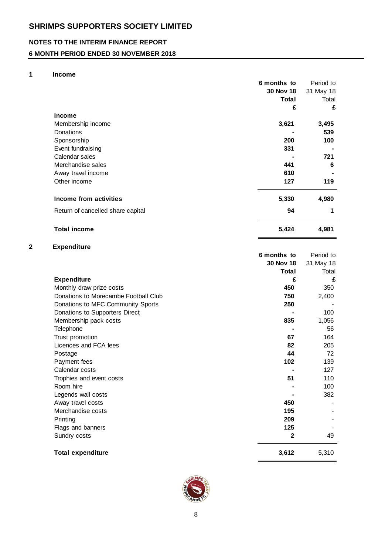## **NOTES TO THE INTERIM FINANCE REPORT**

## **6 MONTH PERIOD ENDED 30 NOVEMBER 2018**

#### **1 Income**

|                                   | 6 months to | Period to |
|-----------------------------------|-------------|-----------|
|                                   | 30 Nov 18   | 31 May 18 |
|                                   | Total       | Total     |
|                                   | £           | £         |
| <b>Income</b>                     |             |           |
| Membership income                 | 3,621       | 3,495     |
| <b>Donations</b>                  |             | 539       |
| Sponsorship                       | 200         | 100       |
| Event fundraising                 | 331         |           |
| Calendar sales                    |             | 721       |
| Merchandise sales                 | 441         | 6         |
| Away travel income                | 610         |           |
| Other income                      | 127         | 119       |
| Income from activities            | 5,330       | 4,980     |
| Return of cancelled share capital | 94          | 1         |
| <b>Total income</b>               | 5,424       | 4,981     |

#### **2 Expenditure**

|                                      | 6 months to  | Period to |
|--------------------------------------|--------------|-----------|
|                                      | 30 Nov 18    | 31 May 18 |
|                                      | <b>Total</b> | Total     |
| <b>Expenditure</b>                   | £            | £         |
| Monthly draw prize costs             | 450          | 350       |
| Donations to Morecambe Football Club | 750          | 2,400     |
| Donations to MFC Community Sports    | 250          |           |
| Donations to Supporters Direct       |              | 100       |
| Membership pack costs                | 835          | 1,056     |
| Telephone                            |              | 56        |
| Trust promotion                      | 67           | 164       |
| Licences and FCA fees                | 82           | 205       |
| Postage                              | 44           | 72        |
| Payment fees                         | 102          | 139       |
| Calendar costs                       |              | 127       |
| Trophies and event costs             | 51           | 110       |
| Room hire                            |              | 100       |
| Legends wall costs                   |              | 382       |
| Away travel costs                    | 450          |           |
| Merchandise costs                    | 195          |           |
| Printing                             | 209          |           |
| Flags and banners                    | 125          |           |
| Sundry costs                         | $\mathbf{2}$ | 49        |
| <b>Total expenditure</b>             | 3,612        | 5,310     |